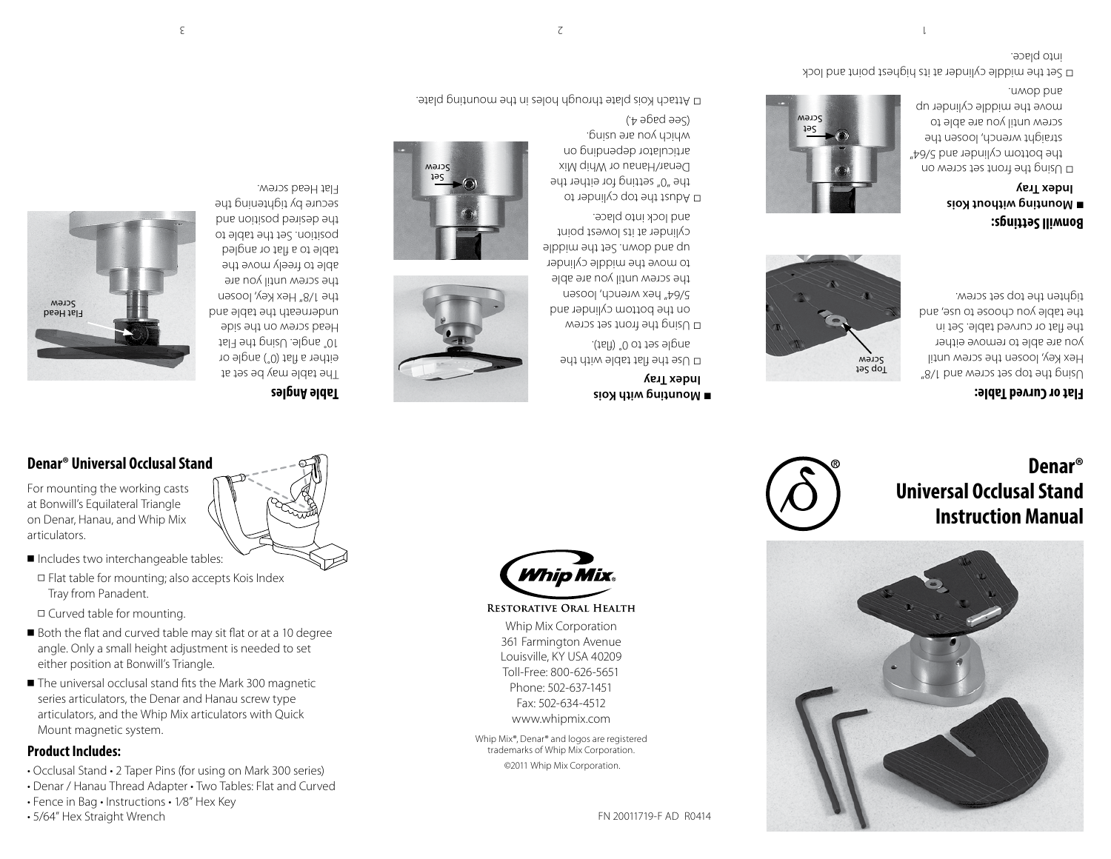**Mounting with Kois Index Tray**

Use the flat table with the ▫ angle set to 0˚ (flat). Using the front set screw ▫ on the bottom cylinder and 5/64" hex wrench, loosen the screw until you are able to move the middle cylinder up and down. Set the middle cylinder at its lowest point and lock into place. D Adust the top cylinder to the "0" setting for either the Denar/Hanau or Whip Mix articulator depending on which you are using.  $(+e^{\theta})$ aged  $\theta$ 



# **Universal Occlusal Stand Instruction Manual**

# **Denar®**

#### **Flat or Curved Table:**

Using the top set screw and 1/8" Hex Key, loosen the screw until you are able to remove either the flat or curved table. Set in the table you choose to use, and tighten the top set screw.

Top Set Screw

#### **Bonwill Settings: Mounting without Kois Index Tray**

and down.

screw until you are able to

Using the front set screw on ▫ the bottom cylinder and 5/64" straight wrench, loosen the move the middle cylinder up Set Screw

D Set the middle cylinder at its highest point and lock into place.



## **Denar® Universal Occlusal Stand**

For mounting the working casts at Bonwill's Equilateral Triangle on Denar, Hanau, and Whip Mix articulators.

- Includes two interchangeable tables:
- Flat table for mounting; also accepts Kois Index Tray from Panadent.
- Curved table for mounting.
- Both the flat and curved table may sit flat or at a 10 degree angle. Only a small height adjustment is needed to set
- either position at Bonwill's Triangle. ■ The universal occlusal stand fits the Mark 300 magnetic series articulators, the Denar and Hanau screw type
- articulators, and the Whip Mix articulators with Quick Mount magnetic system.

## **Product Includes:**

- Occlusal Stand 2 Taper Pins (for using on Mark 300 series)
- Denar / Hanau Thread Adapter Two Tables: Flat and Curved
- Fence in Bag Instructions 1⁄8" Hex Key
- 5/64" Hex Straight Wrench





Whip Mix Corporation 361 Farmington Avenue Louisville, KY USA 40209 Toll-Free: 800-626-5651 Phone: 502-637-1451 Fax: 502-634-4512 www.whipmix.com Whip Mix®, Denar® and logos are registered trademarks of Whip Mix Corporation. ©2011 Whip Mix Corporation.

RESTORATIVE ORAL HEALTH

Delater Kois plate through holes in the mounting plate.



## **Table Angles**

The table may be set at either a flat (°) angle or 16⊺ angle. Using the Flat Head screw on the side underneath the table and the 1/8" Hex Key, loosen the screw until you are able to freely move the table to a flat or angled position. Set the table to the desired position and secnte p) rightightening the Flat Head screw.



Set Screw